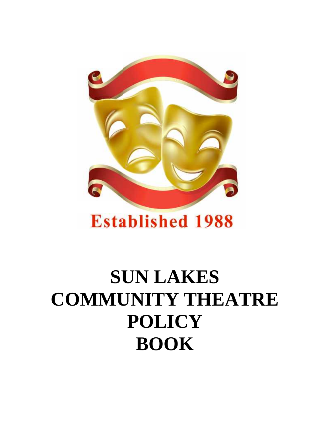

# **Established 1988**

# **SUN LAKES COMMUNITY THEATRE POLICY BOOK**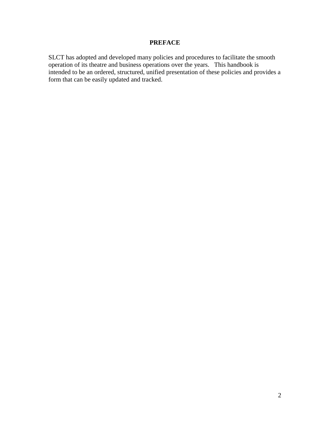#### **PREFACE**

SLCT has adopted and developed many policies and procedures to facilitate the smooth operation of its theatre and business operations over the years. This handbook is intended to be an ordered, structured, unified presentation of these policies and provides a form that can be easily updated and tracked.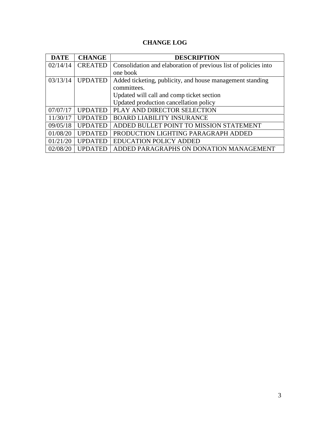# **CHANGE LOG**

| <b>DATE</b> | <b>CHANGE</b>  | <b>DESCRIPTION</b>                                              |
|-------------|----------------|-----------------------------------------------------------------|
| 02/14/14    | <b>CREATED</b> | Consolidation and elaboration of previous list of policies into |
|             |                | one book                                                        |
| 03/13/14    | <b>UPDATED</b> | Added ticketing, publicity, and house management standing       |
|             |                | committees.                                                     |
|             |                | Updated will call and comp ticket section                       |
|             |                | Updated production cancellation policy                          |
| 07/07/17    | <b>UPDATED</b> | PLAY AND DIRECTOR SELECTION                                     |
| 11/30/17    | <b>UPDATED</b> | <b>BOARD LIABILITY INSURANCE</b>                                |
| 09/05/18    | <b>UPDATED</b> | ADDED BULLET POINT TO MISSION STATEMENT                         |
| 01/08/20    | <b>UPDATED</b> | PRODUCTION LIGHTING PARAGRAPH ADDED                             |
| 01/21/20    | <b>UPDATED</b> | <b>EDUCATION POLICY ADDED</b>                                   |
| 02/08/20    | <b>UPDATED</b> | ADDED PARAGRAPHS ON DONATION MANAGEMENT                         |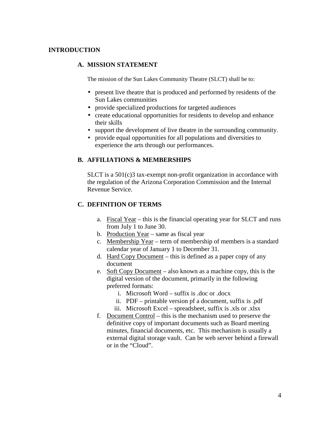#### **INTRODUCTION**

#### **A. MISSION STATEMENT**

The mission of the Sun Lakes Community Theatre (SLCT) shall be to:

- present live theatre that is produced and performed by residents of the Sun Lakes communities
- provide specialized productions for targeted audiences
- $\int$  create educational opportunities for residents to develop and enhance their skills
- support the development of live theatre in the surrounding community.
- provide equal opportunities for all populations and diversities to experience the arts through our performances**.**

#### **B. AFFILIATIONS & MEMBERSHIPS**

SLCT is a 501(c)3 tax-exempt non-profit organization in accordance with the regulation of the Arizona Corporation Commission and the Internal Revenue Service.

#### **C. DEFINITION OF TERMS**

- a. Fiscal Year this is the financial operating year for SLCT and runs from July 1 to June 30.
- b. Production Year same as fiscal year
- c. Membership Year term of membership of members is a standard calendar year of January 1 to December 31.
- d. Hard Copy Document this is defined as a paper copy of any document
- e. Soft Copy Document also known as a machine copy, this is the digital version of the document, primarily in the following preferred formats:
	- i. Microsoft Word suffix is .doc or .docx
	- ii. PDF printable version pf a document, suffix is .pdf
	- iii. Microsoft Excel spreadsheet, suffix is .xls or .xlsx
- f. Document Control this is the mechanism used to preserve the definitive copy of important documents such as Board meeting minutes, financial documents, etc. This mechanism is usually a external digital storage vault. Can be web server behind a firewall or in the "Cloud".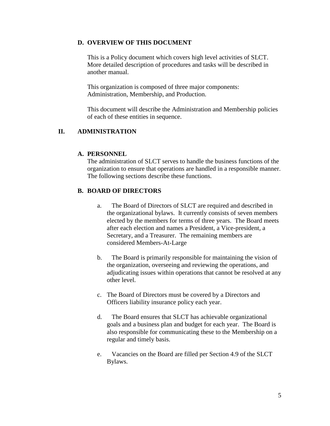#### **D. OVERVIEW OF THIS DOCUMENT**

This is a Policy document which covers high level activities of SLCT. More detailed description of procedures and tasks will be described in another manual.

This organization is composed of three major components: Administration, Membership, and Production.

This document will describe the Administration and Membership policies of each of these entities in sequence.

#### **II. ADMINISTRATION**

#### **A. PERSONNEL**

The administration of SLCT serves to handle the business functions of the organization to ensure that operations are handled in a responsible manner. The following sections describe these functions.

#### **B. BOARD OF DIRECTORS**

- a. The Board of Directors of SLCT are required and described in the organizational bylaws. It currently consists of seven members elected by the members for terms of three years. The Board meets after each election and names a President, a Vice-president, a Secretary, and a Treasurer. The remaining members are considered Members-At-Large
- b. The Board is primarily responsible for maintaining the vision of the organization, overseeing and reviewing the operations, and adjudicating issues within operations that cannot be resolved at any other level.
- c. The Board of Directors must be covered by a Directors and Officers liability insurance policy each year.
- d. The Board ensures that SLCT has achievable organizational goals and a business plan and budget for each year. The Board is also responsible for communicating these to the Membership on a regular and timely basis.
- e. Vacancies on the Board are filled per Section 4.9 of the SLCT Bylaws.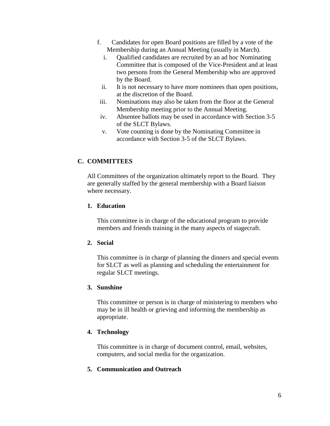- f. Candidates for open Board positions are filled by a vote of the Membership during an Annual Meeting (usually in March).
	- i. Qualified candidates are recruited by an ad hoc Nominating Committee that is composed of the Vice-President and at least two persons from the General Membership who are approved by the Board.
	- ii. It is not necessary to have more nominees than open positions, at the discretion of the Board.
- iii. Nominations may also be taken from the floor at the General Membership meeting prior to the Annual Meeting.
- iv. Absentee ballots may be used in accordance with Section 3-5 of the SLCT Bylaws.
- v. Vote counting is done by the Nominating Committee in accordance with Section 3-5 of the SLCT Bylaws.

# **C. COMMITTEES**

All Committees of the organization ultimately report to the Board. They are generally staffed by the general membership with a Board liaison where necessary.

#### **1. Education**

This committee is in charge of the educational program to provide members and friends training in the many aspects of stagecraft.

#### **2. Social**

This committee is in charge of planning the dinners and special events for SLCT as well as planning and scheduling the entertainment for regular SLCT meetings.

### **3. Sunshine**

This committee or person is in charge of ministering to members who may be in ill health or grieving and informing the membership as appropriate.

# **4. Technology**

This committee is in charge of document control, email, websites, computers, and social media for the organization.

# **5. Communication and Outreach**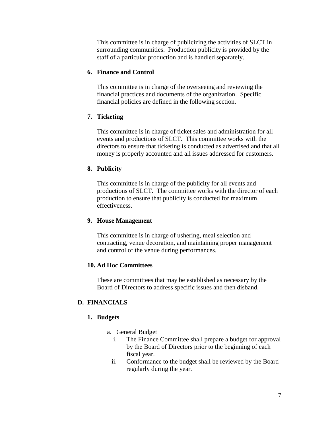This committee is in charge of publicizing the activities of SLCT in surrounding communities. Production publicity is provided by the staff of a particular production and is handled separately.

#### **6. Finance and Control**

This committee is in charge of the overseeing and reviewing the financial practices and documents of the organization. Specific financial policies are defined in the following section.

#### **7. Ticketing**

This committee is in charge of ticket sales and administration for all events and productions of SLCT. This committee works with the directors to ensure that ticketing is conducted as advertised and that all money is properly accounted and all issues addressed for customers.

#### **8. Publicity**

This committee is in charge of the publicity for all events and productions of SLCT. The committee works with the director of each production to ensure that publicity is conducted for maximum effectiveness.

#### **9. House Management**

This committee is in charge of ushering, meal selection and contracting, venue decoration, and maintaining proper management and control of the venue during performances.

#### **10. Ad Hoc Committees**

These are committees that may be established as necessary by the Board of Directors to address specific issues and then disband.

#### **D. FINANCIALS**

#### **1. Budgets**

- a. General Budget
	- i. The Finance Committee shall prepare a budget for approval by the Board of Directors prior to the beginning of each fiscal year.
	- ii. Conformance to the budget shall be reviewed by the Board regularly during the year.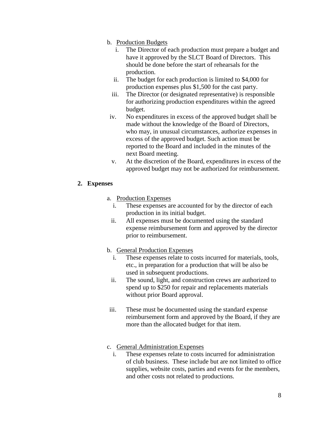- b. Production Budgets
	- i. The Director of each production must prepare a budget and have it approved by the SLCT Board of Directors. This should be done before the start of rehearsals for the production.
	- ii. The budget for each production is limited to \$4,000 for production expenses plus \$1,500 for the cast party.
	- iii. The Director (or designated representative) is responsible for authorizing production expenditures within the agreed budget.
- iv. No expenditures in excess of the approved budget shall be made without the knowledge of the Board of Directors, who may, in unusual circumstances, authorize expenses in excess of the approved budget. Such action must be reported to the Board and included in the minutes of the next Board meeting.
- v. At the discretion of the Board, expenditures in excess of the approved budget may not be authorized for reimbursement.

#### **2. Expenses**

- a. Production Expenses
	- i. These expenses are accounted for by the director of each production in its initial budget.
	- ii. All expenses must be documented using the standard expense reimbursement form and approved by the director prior to reimbursement.
- b. General Production Expenses
	- i. These expenses relate to costs incurred for materials, tools, etc., in preparation for a production that will be also be used in subsequent productions.
	- ii. The sound, light, and construction crews are authorized to spend up to \$250 for repair and replacements materials without prior Board approval.
- iii. These must be documented using the standard expense reimbursement form and approved by the Board, if they are more than the allocated budget for that item.
- c. General Administration Expenses
	- i. These expenses relate to costs incurred for administration of club business. These include but are not limited to office supplies, website costs, parties and events for the members, and other costs not related to productions.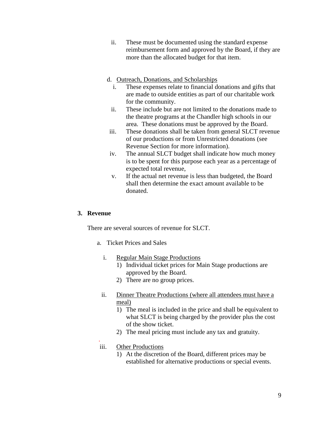- ii. These must be documented using the standard expense reimbursement form and approved by the Board, if they are more than the allocated budget for that item.
- d. Outreach, Donations, and Scholarships
	- i. These expenses relate to financial donations and gifts that are made to outside entities as part of our charitable work for the community.
	- ii. These include but are not limited to the donations made to the theatre programs at the Chandler high schools in our area. These donations must be approved by the Board.
- iii. These donations shall be taken from general SLCT revenue of our productions or from Unrestricted donations (see Revenue Section for more information).
- iv. The annual SLCT budget shall indicate how much money is to be spent for this purpose each year as a percentage of expected total revenue,
- v. If the actual net revenue is less than budgeted, the Board shall then determine the exact amount available to be donated.

#### **3. Revenue**

There are several sources of revenue for SLCT.

- a. Ticket Prices and Sales
	- i. Regular Main Stage Productions
		- 1) Individual ticket prices for Main Stage productions are approved by the Board.
		- 2) There are no group prices.
	- ii. Dinner Theatre Productions (where all attendees must have a meal)
		- 1) The meal is included in the price and shall be equivalent to what SLCT is being charged by the provider plus the cost of the show ticket.
		- 2) The meal pricing must include any tax and gratuity.

#### .iii. Other Productions

1) At the discretion of the Board, different prices may be established for alternative productions or special events.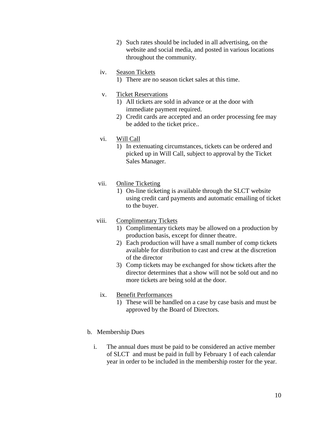2) Such rates should be included in all advertising, on the website and social media, and posted in various locations throughout the community.

#### iv. Season Tickets

1) There are no season ticket sales at this time.

#### v. Ticket Reservations

- 1) All tickets are sold in advance or at the door with immediate payment required.
- 2) Credit cards are accepted and an order processing fee may be added to the ticket price..

#### vi. Will Call

1) In extenuating circumstances, tickets can be ordered and picked up in Will Call, subject to approval by the Ticket Sales Manager.

#### vii. Online Ticketing

1) On-line ticketing is available through the SLCT website using credit card payments and automatic emailing of ticket to the buyer.

#### viii. Complimentary Tickets

- 1) Complimentary tickets may be allowed on a production by production basis, except for dinner theatre.
- 2) Each production will have a small number of comp tickets available for distribution to cast and crew at the discretion of the director
- 3) Comp tickets may be exchanged for show tickets after the director determines that a show will not be sold out and no more tickets are being sold at the door.

#### ix. Benefit Performances

1) These will be handled on a case by case basis and must be approved by the Board of Directors.

#### b. Membership Dues

i. The annual dues must be paid to be considered an active member of SLCT and must be paid in full by February 1 of each calendar year in order to be included in the membership roster for the year.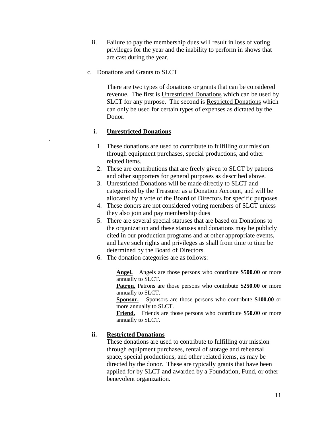- ii. Failure to pay the membership dues will result in loss of voting privileges for the year and the inability to perform in shows that are cast during the year.
- c. Donations and Grants to SLCT

There are two types of donations or grants that can be considered revenue. The first is Unrestricted Donations which can be used by SLCT for any purpose. The second is Restricted Donations which can only be used for certain types of expenses as dictated by the Donor.

# **i. Unrestricted Donations**

.

- 1. These donations are used to contribute to fulfilling our mission through equipment purchases, special productions, and other related items.
- 2. These are contributions that are freely given to SLCT by patrons and other supporters for general purposes as described above.
- 3. Unrestricted Donations will be made directly to SLCT and categorized by the Treasurer as a Donation Account, and will be allocated by a vote of the Board of Directors for specific purposes.
- 4. These donors are not considered voting members of SLCT unless they also join and pay membership dues
- 5. There are several special statuses that are based on Donations to the organization and these statuses and donations may be publicly cited in our production programs and at other appropriate events, and have such rights and privileges as shall from time to time be determined by the Board of Directors.
- 6. The donation categories are as follows:

**Angel.** Angels are those persons who contribute **\$500.00** or more annually to SLCT.

**Patron.** Patrons are those persons who contribute **\$250.00** or more annually to SLCT.

**Sponsor.** Sponsors are those persons who contribute **\$100.00** or more annually to SLCT.

**Friend.** Friends are those persons who contribute **\$50.00** or more annually to SLCT.

#### **ii. Restricted Donations**

These donations are used to contribute to fulfilling our mission through equipment purchases, rental of storage and rehearsal space, special productions, and other related items, as may be directed by the donor. These are typically grants that have been applied for by SLCT and awarded by a Foundation, Fund, or other benevolent organization.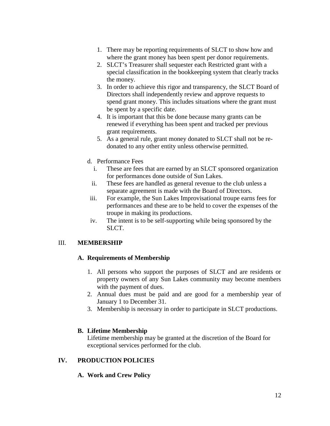- 1. There may be reporting requirements of SLCT to show how and where the grant money has been spent per donor requirements.
- 2. SLCT's Treasurer shall sequester each Restricted grant with a special classification in the bookkeeping system that clearly tracks the money.
- 3. In order to achieve this rigor and transparency, the SLCT Board of Directors shall independently review and approve requests to spend grant money. This includes situations where the grant must be spent by a specific date.
- 4. It is important that this be done because many grants can be renewed if everything has been spent and tracked per previous grant requirements.
- 5. As a general rule, grant money donated to SLCT shall not be re donated to any other entity unless otherwise permitted.
- d. Performance Fees
	- i. These are fees that are earned by an SLCT sponsored organization for performances done outside of Sun Lakes.
	- ii. These fees are handled as general revenue to the club unless a separate agreement is made with the Board of Directors.
- iii. For example, the Sun Lakes Improvisational troupe earns fees for performances and these are to be held to cover the expenses of the troupe in making its productions.
- iv. The intent is to be self-supporting while being sponsored by the SLCT.

#### III. **MEMBERSHIP**

#### **A. Requirements of Membership**

- 1. All persons who support the purposes of SLCT and are residents or property owners of any Sun Lakes community may become members with the payment of dues.
- 2. Annual dues must be paid and are good for a membership year of January 1 to December 31.
- 3. Membership is necessary in order to participate in SLCT productions.

#### **B. Lifetime Membership**

Lifetime membership may be granted at the discretion of the Board for exceptional services performed for the club.

# **IV. PRODUCTION POLICIES**

# **A. Work and Crew Policy**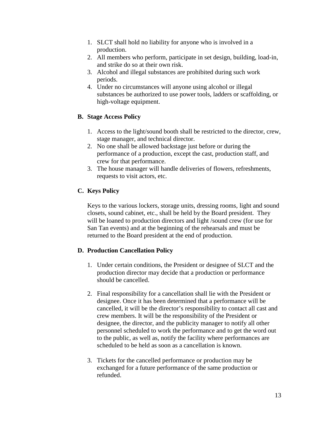- 1. SLCT shall hold no liability for anyone who is involved in a production.
- 2. All members who perform, participate in set design, building, load-in, and strike do so at their own risk.
- 3. Alcohol and illegal substances are prohibited during such work periods.
- 4. Under no circumstances will anyone using alcohol or illegal substances be authorized to use power tools, ladders or scaffolding, or high-voltage equipment.

# **B. Stage Access Policy**

- 1. Access to the light/sound booth shall be restricted to the director, crew, stage manager, and technical director.
- 2. No one shall be allowed backstage just before or during the performance of a production, except the cast, production staff, and crew for that performance.
- 3. The house manager will handle deliveries of flowers, refreshments, requests to visit actors, etc.

# **C. Keys Policy**

Keys to the various lockers, storage units, dressing rooms, light and sound closets, sound cabinet, etc., shall be held by the Board president. They will be loaned to production directors and light /sound crew (for use for San Tan events) and at the beginning of the rehearsals and must be returned to the Board president at the end of production.

#### **D. Production Cancellation Policy**

- 1. Under certain conditions, the President or designee of SLCT and the production director may decide that a production or performance should be cancelled.
- 2. Final responsibility for a cancellation shall lie with the President or designee. Once it has been determined that a performance will be cancelled, it will be the director's responsibility to contact all cast and crew members. It will be the responsibility of the President or designee, the director, and the publicity manager to notify all other personnel scheduled to work the performance and to get the word out to the public, as well as, notify the facility where performances are scheduled to be held as soon as a cancellation is known.
- 3. Tickets for the cancelled performance or production may be exchanged for a future performance of the same production or refunded.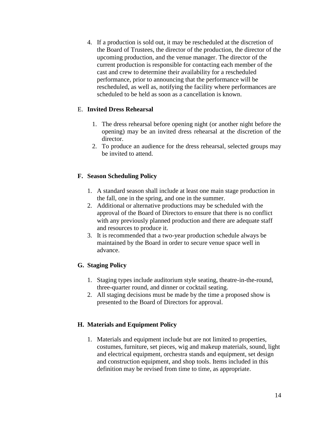4. If a production is sold out, it may be rescheduled at the discretion of the Board of Trustees, the director of the production, the director of the upcoming production, and the venue manager. The director of the current production is responsible for contacting each member of the cast and crew to determine their availability for a rescheduled performance, prior to announcing that the performance will be rescheduled, as well as, notifying the facility where performances are scheduled to be held as soon as a cancellation is known.

#### E. **Invited Dress Rehearsal**

- 1. The dress rehearsal before opening night (or another night before the opening) may be an invited dress rehearsal at the discretion of the director.
- 2. To produce an audience for the dress rehearsal, selected groups may be invited to attend.

#### **F. Season Scheduling Policy**

- 1. A standard season shall include at least one main stage production in the fall, one in the spring, and one in the summer.
- 2. Additional or alternative productions may be scheduled with the approval of the Board of Directors to ensure that there is no conflict with any previously planned production and there are adequate staff and resources to produce it.
- 3. It is recommended that a two-year production schedule always be maintained by the Board in order to secure venue space well in advance.

# **G. Staging Policy**

- 1. Staging types include auditorium style seating, theatre-in-the-round, three-quarter round, and dinner or cocktail seating.
- 2. All staging decisions must be made by the time a proposed show is presented to the Board of Directors for approval.

#### **H. Materials and Equipment Policy**

1. Materials and equipment include but are not limited to properties, costumes, furniture, set pieces, wig and makeup materials, sound, light and electrical equipment, orchestra stands and equipment, set design and construction equipment, and shop tools. Items included in this definition may be revised from time to time, as appropriate.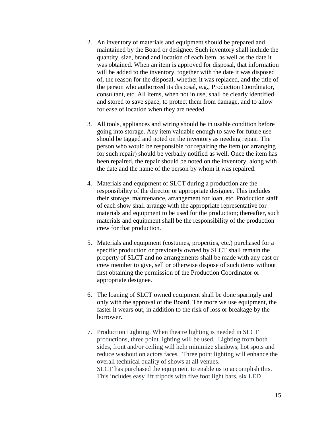- 2. An inventory of materials and equipment should be prepared and maintained by the Board or designee. Such inventory shall include the quantity, size, brand and location of each item, as well as the date it was obtained. When an item is approved for disposal, that information will be added to the inventory, together with the date it was disposed of, the reason for the disposal, whether it was replaced, and the title of the person who authorized its disposal, e.g., Production Coordinator, consultant, etc. All items, when not in use, shall be clearly identified and stored to save space, to protect them from damage, and to allow for ease of location when they are needed.
- 3. All tools, appliances and wiring should be in usable condition before going into storage. Any item valuable enough to save for future use should be tagged and noted on the inventory as needing repair. The person who would be responsible for repairing the item (or arranging for such repair) should be verbally notified as well. Once the item has been repaired, the repair should be noted on the inventory, along with the date and the name of the person by whom it was repaired.
- 4. Materials and equipment of SLCT during a production are the responsibility of the director or appropriate designee. This includes their storage, maintenance, arrangement for loan, etc. Production staff of each show shall arrange with the appropriate representative for materials and equipment to be used for the production; thereafter, such materials and equipment shall be the responsibility of the production crew for that production.
- 5. Materials and equipment (costumes, properties, etc.) purchased for a specific production or previously owned by SLCT shall remain the property of SLCT and no arrangements shall be made with any cast or crew member to give, sell or otherwise dispose of such items without first obtaining the permission of the Production Coordinator or appropriate designee.
- 6. The loaning of SLCT owned equipment shall be done sparingly and only with the approval of the Board. The more we use equipment, the faster it wears out, in addition to the risk of loss or breakage by the borrower.
- 7. Production Lighting. When theatre lighting is needed in SLCT productions, three point lighting will be used. Lighting from both sides, front and/or ceiling will help minimize shadows, hot spots and reduce washout on actors faces. Three point lighting will enhance the overall technical quality of shows at all venues. SLCT has purchased the equipment to enable us to accomplish this. This includes easy lift tripods with five foot light bars, six LED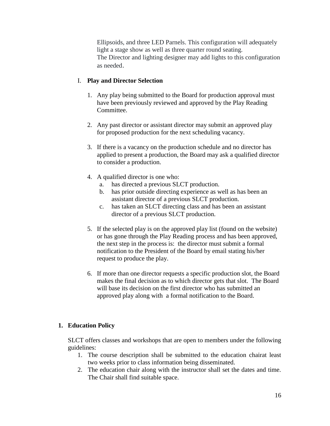Ellipsoids, and three LED Parnels. This configuration will adequately light a stage show as well as three quarter round seating. The Director and lighting designer may add lights to this configuration as needed.

#### I. **Play and Director Selection**

- 1. Any play being submitted to the Board for production approval must have been previously reviewed and approved by the Play Reading Committee.
- 2. Any past director or assistant director may submit an approved play for proposed production for the next scheduling vacancy.
- 3. If there is a vacancy on the production schedule and no director has applied to present a production, the Board may ask a qualified director to consider a production.
- 4. A qualified director is one who:
	- a. has directed a previous SLCT production.
	- b. has prior outside directing experience as well as has been an assistant director of a previous SLCT production.
	- c. has taken an SLCT directing class and has been an assistant director of a previous SLCT production.
- 5. If the selected play is on the approved play list (found on the website) or has gone through the Play Reading process and has been approved, the next step in the process is: the director must submit a formal notification to the President of the Board by email stating his/her request to produce the play.
- 6. If more than one director requests a specific production slot, the Board makes the final decision as to which director gets that slot. The Board will base its decision on the first director who has submitted an approved play along with a formal notification to the Board.

# **1. Education Policy**

SLCT offers classes and workshops that are open to members under the following guidelines:

- 1. The course description shall be submitted to the education chairat least two weeks prior to class information being disseminated.
- 2. The education chair along with the instructor shall set the dates and time. The Chair shall find suitable space.